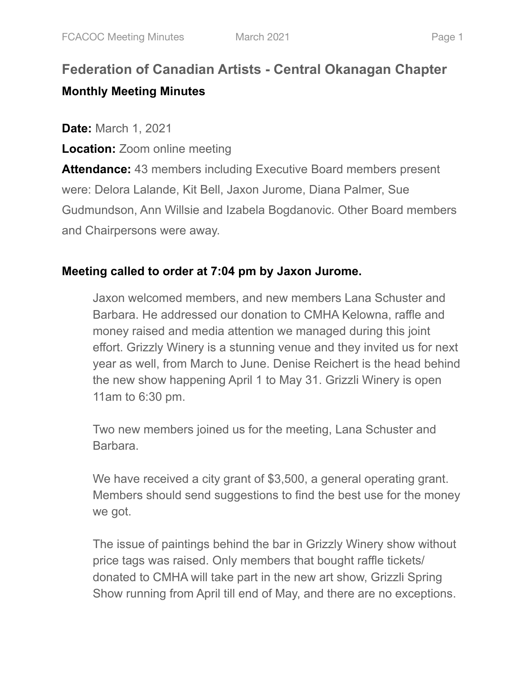# **Federation of Canadian Artists - Central Okanagan Chapter Monthly Meeting Minutes**

**Date:** March 1, 2021

**Location:** Zoom online meeting

**Attendance:** 43 members including Executive Board members present were: Delora Lalande, Kit Bell, Jaxon Jurome, Diana Palmer, Sue Gudmundson, Ann Willsie and Izabela Bogdanovic. Other Board members and Chairpersons were away.

# **Meeting called to order at 7:04 pm by Jaxon Jurome.**

Jaxon welcomed members, and new members Lana Schuster and Barbara. He addressed our donation to CMHA Kelowna, raffle and money raised and media attention we managed during this joint effort. Grizzly Winery is a stunning venue and they invited us for next year as well, from March to June. Denise Reichert is the head behind the new show happening April 1 to May 31. Grizzli Winery is open 11am to 6:30 pm.

Two new members joined us for the meeting, Lana Schuster and Barbara.

We have received a city grant of \$3,500, a general operating grant. Members should send suggestions to find the best use for the money we got.

The issue of paintings behind the bar in Grizzly Winery show without price tags was raised. Only members that bought raffle tickets/ donated to CMHA will take part in the new art show, Grizzli Spring Show running from April till end of May, and there are no exceptions.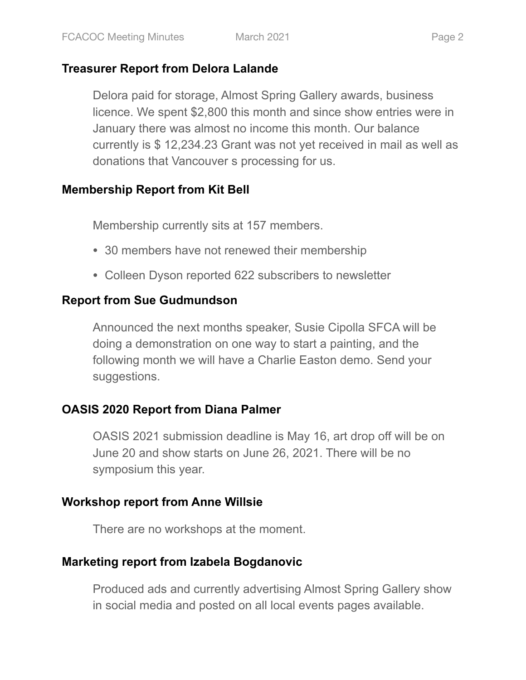#### **Treasurer Report from Delora Lalande**

Delora paid for storage, Almost Spring Gallery awards, business licence. We spent \$2,800 this month and since show entries were in January there was almost no income this month. Our balance currently is \$ 12,234.23 Grant was not yet received in mail as well as donations that Vancouver s processing for us.

#### **Membership Report from Kit Bell**

Membership currently sits at 157 members.

- 30 members have not renewed their membership
- Colleen Dyson reported 622 subscribers to newsletter

## **Report from Sue Gudmundson**

Announced the next months speaker, Susie Cipolla SFCA will be doing a demonstration on one way to start a painting, and the following month we will have a Charlie Easton demo. Send your suggestions.

## **OASIS 2020 Report from Diana Palmer**

OASIS 2021 submission deadline is May 16, art drop off will be on June 20 and show starts on June 26, 2021. There will be no symposium this year.

## **Workshop report from Anne Willsie**

There are no workshops at the moment.

## **Marketing report from Izabela Bogdanovic**

Produced ads and currently advertising Almost Spring Gallery show in social media and posted on all local events pages available.